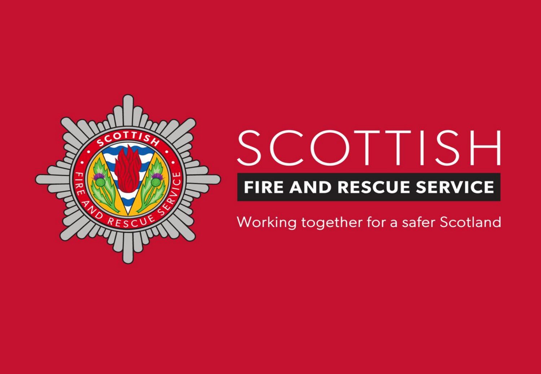

# SCOTTISH **FIRE AND RESCUE SERVICE**

Working together for a safer Scotland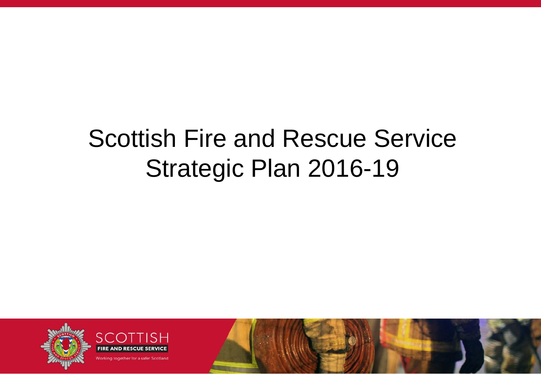#### Scottish Fire and Rescue Service Strategic Plan 2016-19

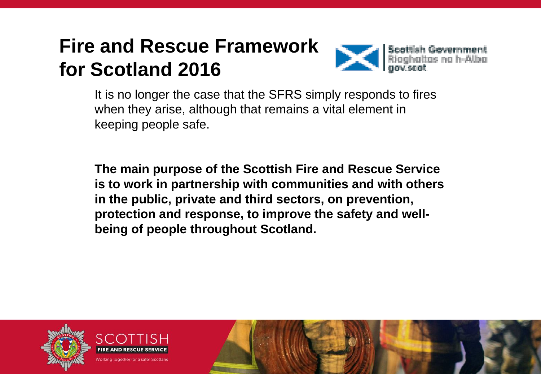#### **Fire and Rescue Framework for Scotland 2016**



It is no longer the case that the SFRS simply responds to fires when they arise, although that remains a vital element in keeping people safe.

**The main purpose of the Scottish Fire and Rescue Service is to work in partnership with communities and with others in the public, private and third sectors, on prevention, protection and response, to improve the safety and wellbeing of people throughout Scotland.**

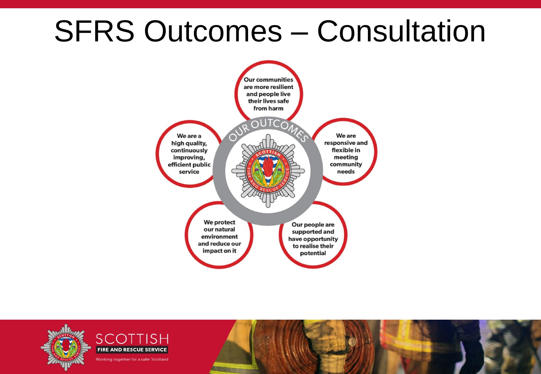#### SFRS Outcomes – Consultation



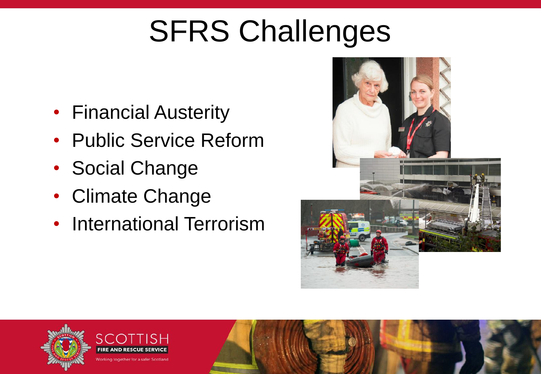# SFRS Challenges

- Financial Austerity
- Public Service Reform
- Social Change
- Climate Change
- International Terrorism



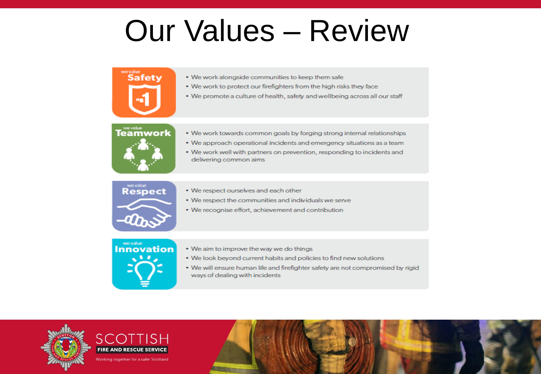#### **Our Values - Review**



- . We work alongside communities to keep them safe
- . We work to protect our firefighters from the high risks they face
- We promote a culture of health, safety and wellbeing across all our staff



- . We work towards common goals by forging strong internal relationships
- . We approach operational incidents and emergency situations as a team
- . We work well with partners on prevention, responding to incidents and delivering common aims



- . We respect ourselves and each other
- . We respect the communities and individuals we serve
- We recognise effort, achievement and contribution



- . We aim to improve the way we do things
- . We look beyond current habits and policies to find new solutions
- . We will ensure human life and firefighter safety are not compromised by rigid ways of dealing with incidents

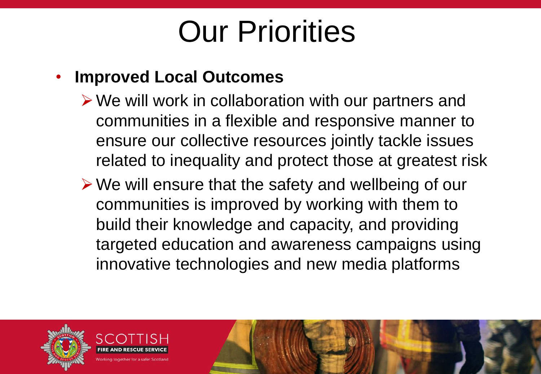#### • **Improved Local Outcomes**

- $\triangleright$  We will work in collaboration with our partners and communities in a flexible and responsive manner to ensure our collective resources jointly tackle issues related to inequality and protect those at greatest risk
- $\triangleright$  We will ensure that the safety and wellbeing of our communities is improved by working with them to build their knowledge and capacity, and providing targeted education and awareness campaigns using innovative technologies and new media platforms

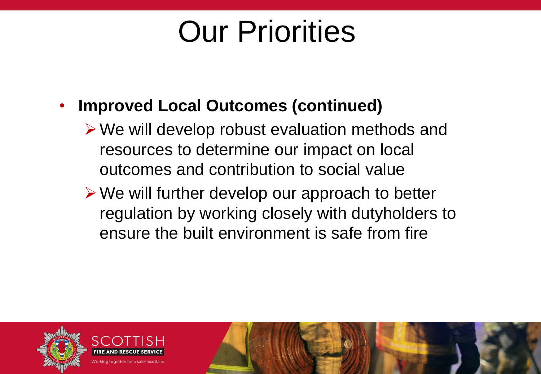#### • **Improved Local Outcomes (continued)**

- $\triangleright$  We will develop robust evaluation methods and resources to determine our impact on local outcomes and contribution to social value
- We will further develop our approach to better regulation by working closely with dutyholders to ensure the built environment is safe from fire

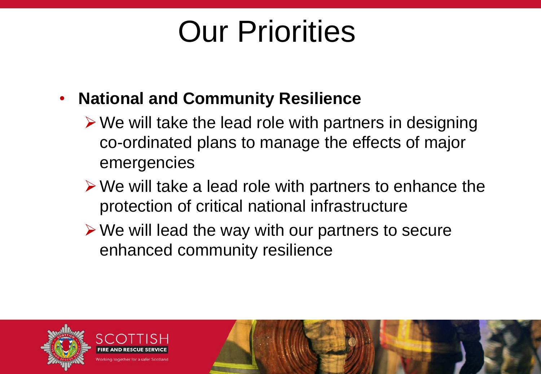- **National and Community Resilience**
	- $\triangleright$  We will take the lead role with partners in designing co-ordinated plans to manage the effects of major emergencies
	- $\triangleright$  We will take a lead role with partners to enhance the protection of critical national infrastructure
	- $\triangleright$  We will lead the way with our partners to secure enhanced community resilience

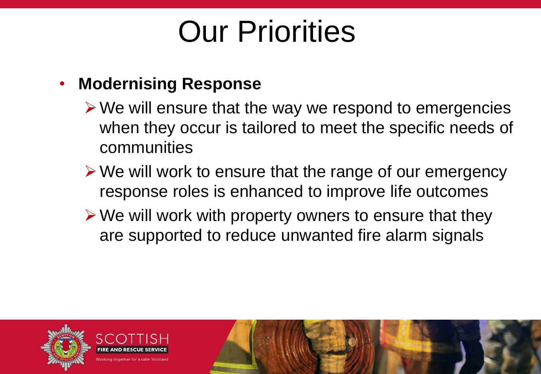#### • **Modernising Response**

- $\triangleright$  We will ensure that the way we respond to emergencies when they occur is tailored to meet the specific needs of communities
- $\triangleright$  We will work to ensure that the range of our emergency response roles is enhanced to improve life outcomes
- $\triangleright$  We will work with property owners to ensure that they are supported to reduce unwanted fire alarm signals

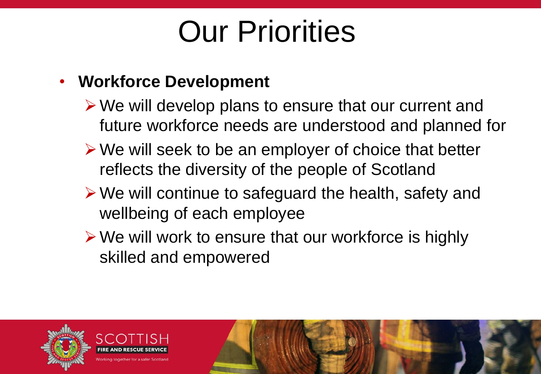#### • **Workforce Development**

- $\triangleright$  We will develop plans to ensure that our current and future workforce needs are understood and planned for
- $\triangleright$  We will seek to be an employer of choice that better reflects the diversity of the people of Scotland
- $\triangleright$  We will continue to safeguard the health, safety and wellbeing of each employee
- $\triangleright$  We will work to ensure that our workforce is highly skilled and empowered

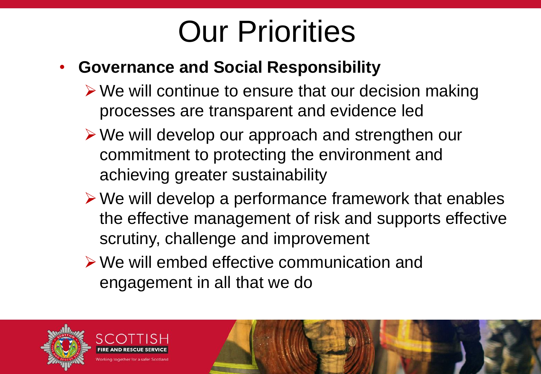#### • **Governance and Social Responsibility**

- $\triangleright$  We will continue to ensure that our decision making processes are transparent and evidence led
- We will develop our approach and strengthen our commitment to protecting the environment and achieving greater sustainability
- $\triangleright$  We will develop a performance framework that enables the effective management of risk and supports effective scrutiny, challenge and improvement
- We will embed effective communication and engagement in all that we do

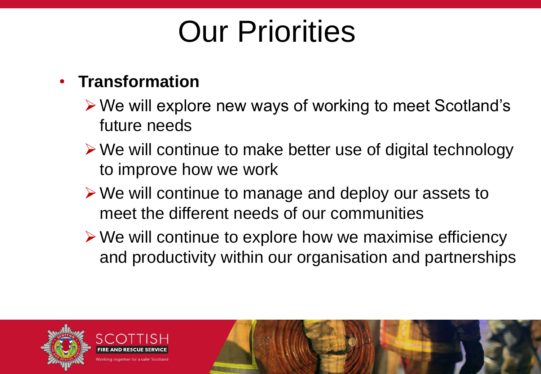#### • **Transformation**

- We will explore new ways of working to meet Scotland's future needs
- $\triangleright$  We will continue to make better use of digital technology to improve how we work
- We will continue to manage and deploy our assets to meet the different needs of our communities
- $\triangleright$  We will continue to explore how we maximise efficiency and productivity within our organisation and partnerships

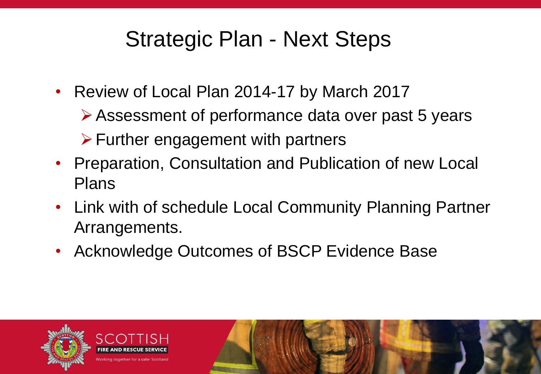#### Strategic Plan - Next Steps

- Review of Local Plan 2014-17 by March 2017
	- Assessment of performance data over past 5 years
	- $\triangleright$  Further engagement with partners
- Preparation, Consultation and Publication of new Local Plans
- Link with of schedule Local Community Planning Partner Arrangements.
- Acknowledge Outcomes of BSCP Evidence Base